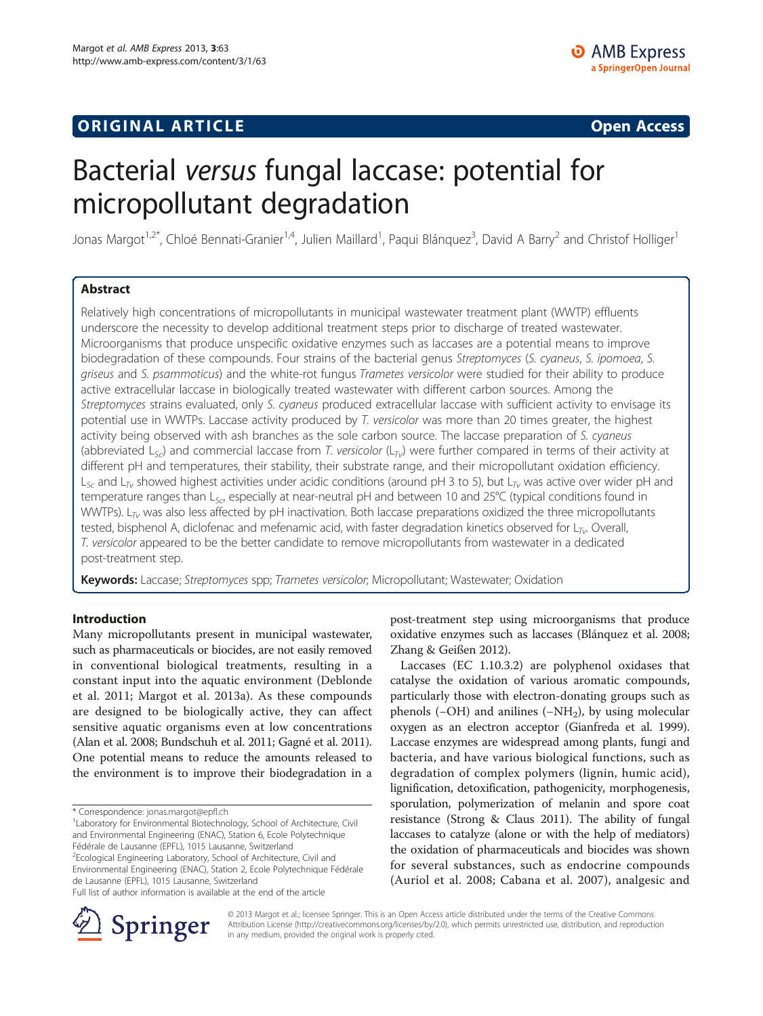## **ORIGINAL ARTICLE CONSERVANCE IN A LOCAL CONSERVANCE IN A LOCAL CONSERVANCE IN A LOCAL CONSERVANCE IN A LOCAL CONSERVANCE IN A LOCAL CONSERVANCE IN A LOCAL CONSERVANCE IN A LOCAL CONSERVANCE IN A LOCAL CONSERVANCE IN A L**

# Bacterial versus fungal laccase: potential for micropollutant degradation

Jonas Margot<sup>1,2\*</sup>, Chloé Bennati-Granier<sup>1,4</sup>, Julien Maillard<sup>1</sup>, Paqui Blánquez<sup>3</sup>, David A Barry<sup>2</sup> and Christof Holliger<sup>1</sup>

## Abstract

Relatively high concentrations of micropollutants in municipal wastewater treatment plant (WWTP) effluents underscore the necessity to develop additional treatment steps prior to discharge of treated wastewater. Microorganisms that produce unspecific oxidative enzymes such as laccases are a potential means to improve biodegradation of these compounds. Four strains of the bacterial genus Streptomyces (S. cyaneus, S. ipomoea, S. griseus and S. psammoticus) and the white-rot fungus Trametes versicolor were studied for their ability to produce active extracellular laccase in biologically treated wastewater with different carbon sources. Among the Streptomyces strains evaluated, only S. cyaneus produced extracellular laccase with sufficient activity to envisage its potential use in WWTPs. Laccase activity produced by T. versicolor was more than 20 times greater, the highest activity being observed with ash branches as the sole carbon source. The laccase preparation of S. cyaneus (abbreviated  $L_{SC}$ ) and commercial laccase from T. versicolor ( $L_{TV}$ ) were further compared in terms of their activity at different pH and temperatures, their stability, their substrate range, and their micropollutant oxidation efficiency. L<sub>Sc</sub> and L<sub>Tv</sub> showed highest activities under acidic conditions (around pH 3 to 5), but L<sub>Tv</sub> was active over wider pH and temperature ranges than  $L_{5c}$  especially at near-neutral pH and between 10 and 25°C (typical conditions found in WWTPs).  $L_{\overline{I}V}$  was also less affected by pH inactivation. Both laccase preparations oxidized the three micropollutants tested, bisphenol A, diclofenac and mefenamic acid, with faster degradation kinetics observed for  $L_{T_2}$ . Overall, T. versicolor appeared to be the better candidate to remove micropollutants from wastewater in a dedicated post-treatment step.

Keywords: Laccase; Streptomyces spp; Trametes versicolor; Micropollutant; Wastewater; Oxidation

## Introduction

Many micropollutants present in municipal wastewater, such as pharmaceuticals or biocides, are not easily removed in conventional biological treatments, resulting in a constant input into the aquatic environment (Deblonde et al. [2011;](#page-12-0) Margot et al. [2013a](#page-13-0)). As these compounds are designed to be biologically active, they can affect sensitive aquatic organisms even at low concentrations (Alan et al. [2008;](#page-12-0) Bundschuh et al. [2011;](#page-12-0) Gagné et al. [2011](#page-12-0)). One potential means to reduce the amounts released to the environment is to improve their biodegradation in a

<sup>2</sup> Ecological Engineering Laboratory, School of Architecture, Civil and

Environmental Engineering (ENAC), Station 2, Ecole Polytechnique Fédérale de Lausanne (EPFL), 1015 Lausanne, Switzerland

post-treatment step using microorganisms that produce oxidative enzymes such as laccases (Blánquez et al. [2008](#page-12-0); Zhang & Geißen [2012\)](#page-13-0).

Laccases (EC 1.10.3.2) are polyphenol oxidases that catalyse the oxidation of various aromatic compounds, particularly those with electron-donating groups such as phenols (-OH) and anilines (-NH<sub>2</sub>), by using molecular oxygen as an electron acceptor (Gianfreda et al. [1999](#page-12-0)). Laccase enzymes are widespread among plants, fungi and bacteria, and have various biological functions, such as degradation of complex polymers (lignin, humic acid), lignification, detoxification, pathogenicity, morphogenesis, sporulation, polymerization of melanin and spore coat resistance (Strong & Claus [2011](#page-13-0)). The ability of fungal laccases to catalyze (alone or with the help of mediators) the oxidation of pharmaceuticals and biocides was shown for several substances, such as endocrine compounds (Auriol et al. [2008;](#page-12-0) Cabana et al. [2007\)](#page-12-0), analgesic and



© 2013 Margot et al.; licensee Springer. This is an Open Access article distributed under the terms of the Creative Commons Attribution License [\(http://creativecommons.org/licenses/by/2.0\)](http://creativecommons.org/licenses/by/2.0), which permits unrestricted use, distribution, and reproduction in any medium, provided the original work is properly cited.

<sup>\*</sup> Correspondence: [jonas.margot@epfl.ch](mailto:jonas.margot@epfl.ch) <sup>1</sup>

Laboratory for Environmental Biotechnology, School of Architecture, Civil and Environmental Engineering (ENAC), Station 6, Ecole Polytechnique Fédérale de Lausanne (EPFL), 1015 Lausanne, Switzerland

Full list of author information is available at the end of the article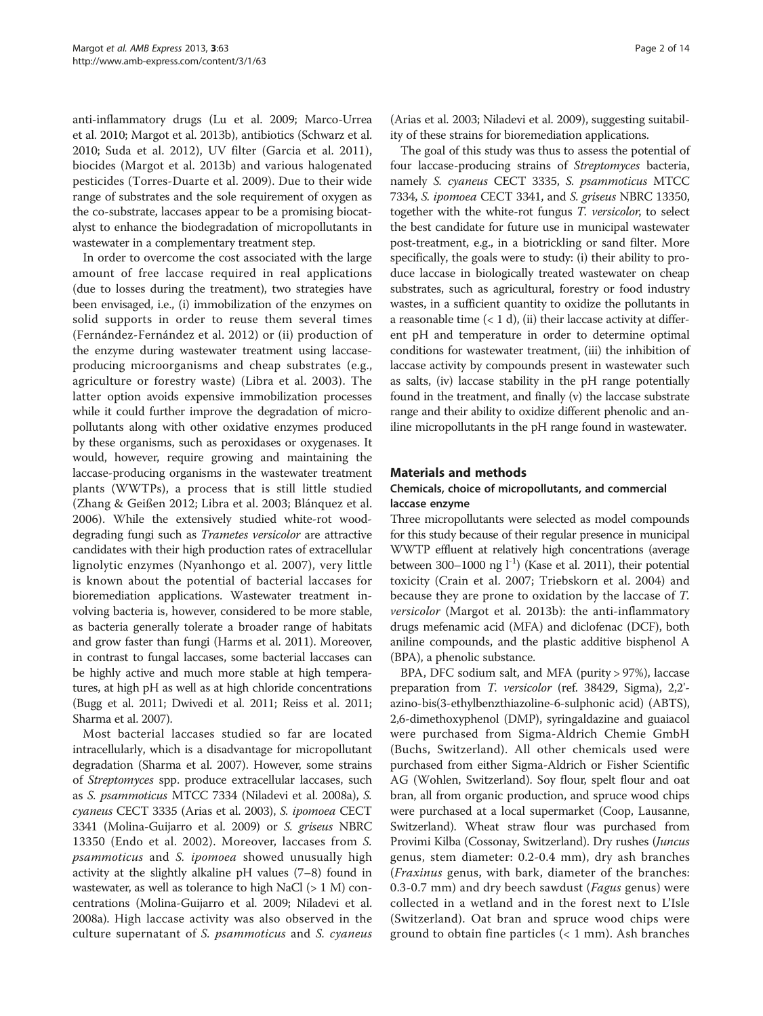anti-inflammatory drugs (Lu et al. [2009;](#page-12-0) Marco-Urrea et al. [2010;](#page-12-0) Margot et al. [2013b\)](#page-13-0), antibiotics (Schwarz et al. [2010;](#page-13-0) Suda et al. [2012\)](#page-13-0), UV filter (Garcia et al. [2011](#page-12-0)), biocides (Margot et al. [2013b](#page-13-0)) and various halogenated pesticides (Torres-Duarte et al. [2009](#page-13-0)). Due to their wide range of substrates and the sole requirement of oxygen as the co-substrate, laccases appear to be a promising biocatalyst to enhance the biodegradation of micropollutants in wastewater in a complementary treatment step.

In order to overcome the cost associated with the large amount of free laccase required in real applications (due to losses during the treatment), two strategies have been envisaged, i.e., (i) immobilization of the enzymes on solid supports in order to reuse them several times (Fernández-Fernández et al. [2012\)](#page-12-0) or (ii) production of the enzyme during wastewater treatment using laccaseproducing microorganisms and cheap substrates (e.g., agriculture or forestry waste) (Libra et al. [2003](#page-12-0)). The latter option avoids expensive immobilization processes while it could further improve the degradation of micropollutants along with other oxidative enzymes produced by these organisms, such as peroxidases or oxygenases. It would, however, require growing and maintaining the laccase-producing organisms in the wastewater treatment plants (WWTPs), a process that is still little studied (Zhang & Geißen [2012](#page-13-0); Libra et al. [2003;](#page-12-0) Blánquez et al. [2006\)](#page-12-0). While the extensively studied white-rot wooddegrading fungi such as Trametes versicolor are attractive candidates with their high production rates of extracellular lignolytic enzymes (Nyanhongo et al. [2007\)](#page-13-0), very little is known about the potential of bacterial laccases for bioremediation applications. Wastewater treatment involving bacteria is, however, considered to be more stable, as bacteria generally tolerate a broader range of habitats and grow faster than fungi (Harms et al. [2011\)](#page-12-0). Moreover, in contrast to fungal laccases, some bacterial laccases can be highly active and much more stable at high temperatures, at high pH as well as at high chloride concentrations (Bugg et al. [2011;](#page-12-0) Dwivedi et al. [2011](#page-12-0); Reiss et al. [2011](#page-13-0); Sharma et al. [2007\)](#page-13-0).

Most bacterial laccases studied so far are located intracellularly, which is a disadvantage for micropollutant degradation (Sharma et al. [2007\)](#page-13-0). However, some strains of Streptomyces spp. produce extracellular laccases, such as S. psammoticus MTCC 7334 (Niladevi et al. [2008a](#page-13-0)), S. cyaneus CECT 3335 (Arias et al. [2003](#page-12-0)), S. ipomoea CECT 3341 (Molina-Guijarro et al. [2009](#page-13-0)) or S. griseus NBRC 13350 (Endo et al. [2002\)](#page-12-0). Moreover, laccases from S. psammoticus and S. ipomoea showed unusually high activity at the slightly alkaline pH values (7–8) found in wastewater, as well as tolerance to high NaCl  $(> 1 M)$  concentrations (Molina-Guijarro et al. [2009;](#page-13-0) Niladevi et al. [2008a](#page-13-0)). High laccase activity was also observed in the culture supernatant of S. psammoticus and S. cyaneus

(Arias et al. [2003;](#page-12-0) Niladevi et al. [2009](#page-13-0)), suggesting suitability of these strains for bioremediation applications.

The goal of this study was thus to assess the potential of four laccase-producing strains of Streptomyces bacteria, namely S. cyaneus CECT 3335, S. psammoticus MTCC 7334, S. ipomoea CECT 3341, and S. griseus NBRC 13350, together with the white-rot fungus T. versicolor, to select the best candidate for future use in municipal wastewater post-treatment, e.g., in a biotrickling or sand filter. More specifically, the goals were to study: (i) their ability to produce laccase in biologically treated wastewater on cheap substrates, such as agricultural, forestry or food industry wastes, in a sufficient quantity to oxidize the pollutants in a reasonable time  $(< 1 d)$ , (ii) their laccase activity at different pH and temperature in order to determine optimal conditions for wastewater treatment, (iii) the inhibition of laccase activity by compounds present in wastewater such as salts, (iv) laccase stability in the pH range potentially found in the treatment, and finally (v) the laccase substrate range and their ability to oxidize different phenolic and aniline micropollutants in the pH range found in wastewater.

## Materials and methods

## Chemicals, choice of micropollutants, and commercial laccase enzyme

Three micropollutants were selected as model compounds for this study because of their regular presence in municipal WWTP effluent at relatively high concentrations (average between 300–1000 ng  $l^{-1}$ ) (Kase et al. [2011\)](#page-12-0), their potential toxicity (Crain et al. [2007;](#page-12-0) Triebskorn et al. [2004](#page-13-0)) and because they are prone to oxidation by the laccase of T. versicolor (Margot et al. [2013b](#page-13-0)): the anti-inflammatory drugs mefenamic acid (MFA) and diclofenac (DCF), both aniline compounds, and the plastic additive bisphenol A (BPA), a phenolic substance.

BPA, DFC sodium salt, and MFA (purity > 97%), laccase preparation from T. versicolor (ref. 38429, Sigma), 2,2' azino-bis(3-ethylbenzthiazoline-6-sulphonic acid) (ABTS), 2,6-dimethoxyphenol (DMP), syringaldazine and guaiacol were purchased from Sigma-Aldrich Chemie GmbH (Buchs, Switzerland). All other chemicals used were purchased from either Sigma-Aldrich or Fisher Scientific AG (Wohlen, Switzerland). Soy flour, spelt flour and oat bran, all from organic production, and spruce wood chips were purchased at a local supermarket (Coop, Lausanne, Switzerland). Wheat straw flour was purchased from Provimi Kilba (Cossonay, Switzerland). Dry rushes (Juncus genus, stem diameter: 0.2-0.4 mm), dry ash branches (Fraxinus genus, with bark, diameter of the branches: 0.3-0.7 mm) and dry beech sawdust (*Fagus* genus) were collected in a wetland and in the forest next to L'Isle (Switzerland). Oat bran and spruce wood chips were ground to obtain fine particles  $(< 1$  mm). Ash branches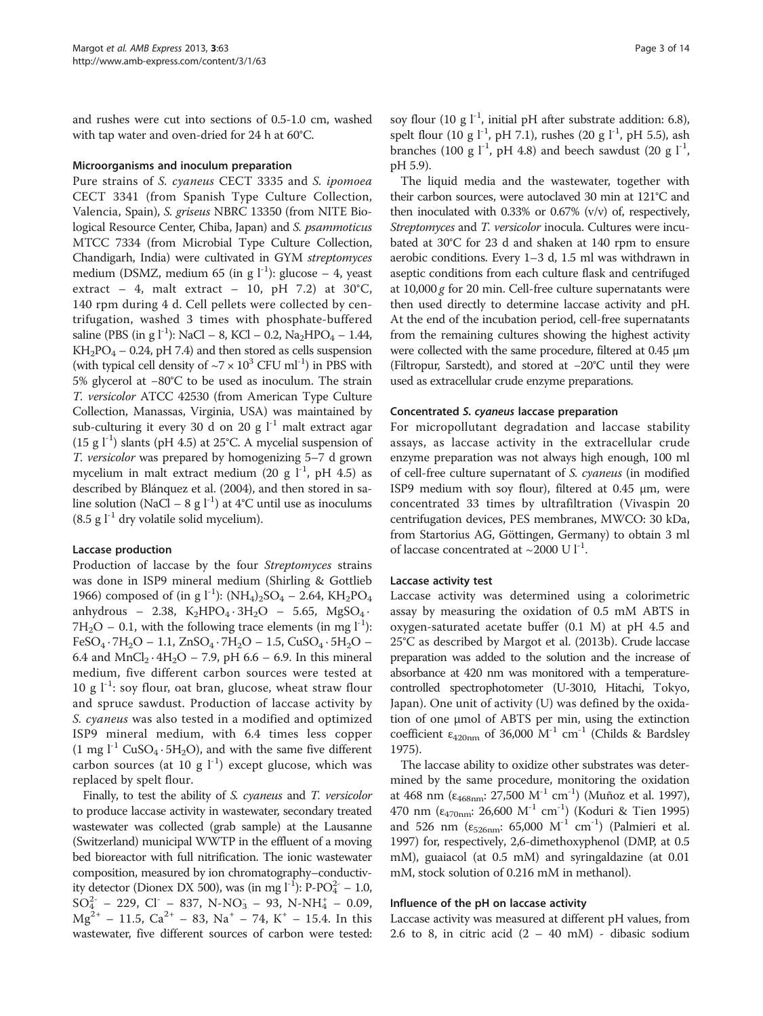and rushes were cut into sections of 0.5-1.0 cm, washed with tap water and oven-dried for 24 h at 60°C.

#### Microorganisms and inoculum preparation

Pure strains of S. cyaneus CECT 3335 and S. ipomoea CECT 3341 (from Spanish Type Culture Collection, Valencia, Spain), S. griseus NBRC 13350 (from NITE Biological Resource Center, Chiba, Japan) and S. psammoticus MTCC 7334 (from Microbial Type Culture Collection, Chandigarh, India) were cultivated in GYM streptomyces medium (DSMZ, medium 65 (in g  $1^{-1}$ ): glucose – 4, yeast extract – 4, malt extract – 10, pH 7.2) at  $30^{\circ}$ C, 140 rpm during 4 d. Cell pellets were collected by centrifugation, washed 3 times with phosphate-buffered saline (PBS (in g l<sup>-1</sup>): NaCl – 8, KCl – 0.2, Na<sub>2</sub>HPO<sub>4</sub> – 1.44,  $KH_2PO_4 - 0.24$ , pH 7.4) and then stored as cells suspension (with typical cell density of  $\sim$ 7 × 10<sup>3</sup> CFU ml<sup>-1</sup>) in PBS with 5% glycerol at −80°C to be used as inoculum. The strain T. versicolor ATCC 42530 (from American Type Culture Collection, Manassas, Virginia, USA) was maintained by sub-culturing it every 30 d on 20 g  $l^{-1}$  malt extract agar (15 g  $1^{-1}$ ) slants (pH 4.5) at 25°C. A mycelial suspension of T. versicolor was prepared by homogenizing 5–7 d grown mycelium in malt extract medium (20 g  $l^{-1}$ , pH 4.5) as described by Blánquez et al. ([2004\)](#page-12-0), and then stored in saline solution (NaCl – 8 g  $l^{-1}$ ) at 4°C until use as inoculums  $(8.5 \text{ g l}^{-1}$  dry volatile solid mycelium).

#### Laccase production

Production of laccase by the four Streptomyces strains was done in ISP9 mineral medium (Shirling & Gottlieb [1966](#page-13-0)) composed of (in g l<sup>-1</sup>): (NH<sub>4</sub>)<sub>2</sub>SO<sub>4</sub> – 2.64, KH<sub>2</sub>PO<sub>4</sub> anhydrous – 2.38,  $K_2HPO_4 \cdot 3H_2O$  – 5.65,  $MgSO_4 \cdot$  $7H<sub>2</sub>O - 0.1$ , with the following trace elements (in mg  $l^{-1}$ ):  $FeSO_4 \cdot 7H_2O - 1.1$ ,  $ZnSO_4 \cdot 7H_2O - 1.5$ ,  $CuSO_4 \cdot 5H_2O -$ 6.4 and  $MnCl_2 \tcdot 4H_2O - 7.9$ , pH 6.6 – 6.9. In this mineral medium, five different carbon sources were tested at 10 g  $1^{-1}$ : soy flour, oat bran, glucose, wheat straw flour and spruce sawdust. Production of laccase activity by S. cyaneus was also tested in a modified and optimized ISP9 mineral medium, with 6.4 times less copper (1 mg  $1^{-1}$  CuSO<sub>4</sub> $\cdot$  5H<sub>2</sub>O), and with the same five different carbon sources (at 10 g  $l^{-1}$ ) except glucose, which was replaced by spelt flour.

Finally, to test the ability of S. cyaneus and T. versicolor to produce laccase activity in wastewater, secondary treated wastewater was collected (grab sample) at the Lausanne (Switzerland) municipal WWTP in the effluent of a moving bed bioreactor with full nitrification. The ionic wastewater composition, measured by ion chromatography–conductivity detector (Dionex DX 500), was (in mg  $1^{-1}$ ): P-PO $_{4}^{2}$  – 1.0,  $SO_4^{2-}$  – 229, Cl<sup>-</sup> – 837, N-NO<sub>3</sub> – 93, N-NH<sub>4</sub> – 0.09,  $Mg^{2+}$  – 11.5, Ca<sup>2+</sup> – 83, Na<sup>+</sup> – 74, K<sup>+</sup> – 15.4. In this wastewater, five different sources of carbon were tested:

soy flour (10 g  $I^{-1}$ , initial pH after substrate addition: 6.8), spelt flour (10 g  $1^{-1}$ , pH 7.1), rushes (20 g  $1^{-1}$ , pH 5.5), ash branches (100 g  $l^{-1}$ , pH 4.8) and beech sawdust (20 g  $l^{-1}$ , pH 5.9).

The liquid media and the wastewater, together with their carbon sources, were autoclaved 30 min at 121°C and then inoculated with 0.33% or 0.67% (v/v) of, respectively, Streptomyces and T. versicolor inocula. Cultures were incubated at 30°C for 23 d and shaken at 140 rpm to ensure aerobic conditions. Every 1–3 d, 1.5 ml was withdrawn in aseptic conditions from each culture flask and centrifuged at  $10,000 g$  for 20 min. Cell-free culture supernatants were then used directly to determine laccase activity and pH. At the end of the incubation period, cell-free supernatants from the remaining cultures showing the highest activity were collected with the same procedure, filtered at 0.45 μm (Filtropur, Sarstedt), and stored at −20°C until they were used as extracellular crude enzyme preparations.

#### Concentrated S. cyaneus laccase preparation

For micropollutant degradation and laccase stability assays, as laccase activity in the extracellular crude enzyme preparation was not always high enough, 100 ml of cell-free culture supernatant of S. cyaneus (in modified ISP9 medium with soy flour), filtered at 0.45 μm, were concentrated 33 times by ultrafiltration (Vivaspin 20 centrifugation devices, PES membranes, MWCO: 30 kDa, from Startorius AG, Göttingen, Germany) to obtain 3 ml of laccase concentrated at  $\sim$ 2000 U l<sup>-1</sup>.

#### Laccase activity test

Laccase activity was determined using a colorimetric assay by measuring the oxidation of 0.5 mM ABTS in oxygen-saturated acetate buffer (0.1 M) at pH 4.5 and 25°C as described by Margot et al. [\(2013b\)](#page-13-0). Crude laccase preparation was added to the solution and the increase of absorbance at 420 nm was monitored with a temperaturecontrolled spectrophotometer (U-3010, Hitachi, Tokyo, Japan). One unit of activity (U) was defined by the oxidation of one μmol of ABTS per min, using the extinction coefficient  $\varepsilon_{420nm}$  of 36,000 M<sup>-1</sup> cm<sup>-1</sup> (Childs & Bardsley [1975](#page-12-0)).

The laccase ability to oxidize other substrates was determined by the same procedure, monitoring the oxidation at 468 nm ( $\varepsilon_{468\text{nm}}$ : 27,500 M<sup>-1</sup> cm<sup>-1</sup>) (Muñoz et al. [1997](#page-13-0)), 470 nm ( $\varepsilon$ <sub>470nm</sub>: 26,600 M<sup>-1</sup> cm<sup>-1</sup>) (Koduri & Tien [1995](#page-12-0)) and 526 nm  $(\varepsilon_{526nm}$ : 65,000 M<sup>-1</sup> cm<sup>-1</sup>) (Palmieri et al. [1997](#page-13-0)) for, respectively, 2,6-dimethoxyphenol (DMP, at 0.5 mM), guaiacol (at 0.5 mM) and syringaldazine (at 0.01 mM, stock solution of 0.216 mM in methanol).

#### Influence of the pH on laccase activity

Laccase activity was measured at different pH values, from 2.6 to 8, in citric acid (2 – 40 mM) - dibasic sodium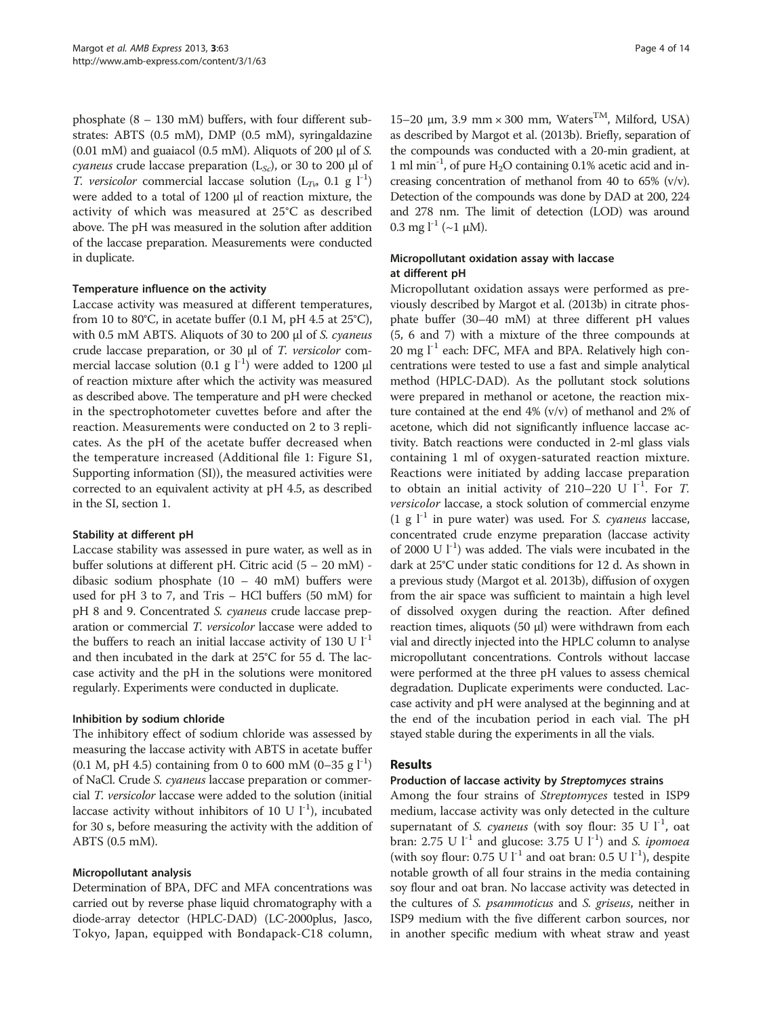phosphate (8 – 130 mM) buffers, with four different substrates: ABTS (0.5 mM), DMP (0.5 mM), syringaldazine (0.01 mM) and guaiacol (0.5 mM). Aliquots of 200  $\mu$ l of S. cyaneus crude laccase preparation ( $L_{Sc}$ ), or 30 to 200 µl of T. versicolor commercial laccase solution ( $L_{Tv}$ , 0.1 g l<sup>-1</sup>) were added to a total of 1200 μl of reaction mixture, the activity of which was measured at 25°C as described above. The pH was measured in the solution after addition of the laccase preparation. Measurements were conducted in duplicate.

#### Temperature influence on the activity

Laccase activity was measured at different temperatures, from 10 to 80°C, in acetate buffer (0.1 M, pH 4.5 at  $25^{\circ}$ C), with 0.5 mM ABTS. Aliquots of 30 to 200 <sup>μ</sup>l of S. cyaneus crude laccase preparation, or 30 <sup>μ</sup>l of T. versicolor commercial laccase solution (0.1 g  $l^{-1}$ ) were added to 1200 μl of reaction mixture after which the activity was measured as described above. The temperature and pH were checked in the spectrophotometer cuvettes before and after the reaction. Measurements were conducted on 2 to 3 replicates. As the pH of the acetate buffer decreased when the temperature increased (Additional file [1:](#page-12-0) Figure S1, Supporting information (SI)), the measured activities were corrected to an equivalent activity at pH 4.5, as described in the SI, section 1.

#### Stability at different pH

Laccase stability was assessed in pure water, as well as in buffer solutions at different pH. Citric acid (5 – 20 mM) dibasic sodium phosphate (10 – 40 mM) buffers were used for pH 3 to 7, and Tris – HCl buffers (50 mM) for pH 8 and 9. Concentrated S. cyaneus crude laccase preparation or commercial T. versicolor laccase were added to the buffers to reach an initial laccase activity of 130 U  $l^{-1}$ and then incubated in the dark at 25°C for 55 d. The laccase activity and the pH in the solutions were monitored regularly. Experiments were conducted in duplicate.

#### Inhibition by sodium chloride

The inhibitory effect of sodium chloride was assessed by measuring the laccase activity with ABTS in acetate buffer  $(0.1 \text{ M}, \text{pH } 4.5)$  containing from 0 to 600 mM  $(0-35 \text{ g } l^{-1})$ of NaCl. Crude S. cyaneus laccase preparation or commercial T. versicolor laccase were added to the solution (initial laccase activity without inhibitors of 10 U  $l^{-1}$ ), incubated for 30 s, before measuring the activity with the addition of ABTS (0.5 mM).

## Micropollutant analysis

Determination of BPA, DFC and MFA concentrations was carried out by reverse phase liquid chromatography with a diode-array detector (HPLC-DAD) (LC-2000plus, Jasco, Tokyo, Japan, equipped with Bondapack-C18 column,

15–20 μm, 3.9 mm × 300 mm, Waters<sup>TM</sup>, Milford, USA) as described by Margot et al. [\(2013b\)](#page-13-0). Briefly, separation of the compounds was conducted with a 20-min gradient, at 1 ml min<sup>-1</sup>, of pure H<sub>2</sub>O containing 0.1% acetic acid and increasing concentration of methanol from 40 to 65% (v/v). Detection of the compounds was done by DAD at 200, 224 and 278 nm. The limit of detection (LOD) was around 0.3 mg  $l^{-1}$  (~1  $\mu$ M).

## Micropollutant oxidation assay with laccase at different pH

Micropollutant oxidation assays were performed as previously described by Margot et al. ([2013b](#page-13-0)) in citrate phosphate buffer (30–40 mM) at three different pH values (5, 6 and 7) with a mixture of the three compounds at 20 mg  $I^{-1}$  each: DFC, MFA and BPA. Relatively high concentrations were tested to use a fast and simple analytical method (HPLC-DAD). As the pollutant stock solutions were prepared in methanol or acetone, the reaction mixture contained at the end 4% (v/v) of methanol and 2% of acetone, which did not significantly influence laccase activity. Batch reactions were conducted in 2-ml glass vials containing 1 ml of oxygen-saturated reaction mixture. Reactions were initiated by adding laccase preparation to obtain an initial activity of 210–220 U  $l^{-1}$ . For T. versicolor laccase, a stock solution of commercial enzyme  $(1 \text{ g } l^{-1}$  in pure water) was used. For *S. cyaneus* laccase, concentrated crude enzyme preparation (laccase activity of 2000 U  $I^{-1}$ ) was added. The vials were incubated in the dark at 25°C under static conditions for 12 d. As shown in a previous study (Margot et al. [2013b](#page-13-0)), diffusion of oxygen from the air space was sufficient to maintain a high level of dissolved oxygen during the reaction. After defined reaction times, aliquots (50 μl) were withdrawn from each vial and directly injected into the HPLC column to analyse micropollutant concentrations. Controls without laccase were performed at the three pH values to assess chemical degradation. Duplicate experiments were conducted. Laccase activity and pH were analysed at the beginning and at the end of the incubation period in each vial. The pH stayed stable during the experiments in all the vials.

## Results

## Production of laccase activity by Streptomyces strains

Among the four strains of Streptomyces tested in ISP9 medium, laccase activity was only detected in the culture supernatant of S. cyaneus (with soy flour: 35 U  $1^{-1}$ , oat bran: 2.75 U  $1^{-1}$  and glucose: 3.75 U  $1^{-1}$ ) and S. *ipomoea* (with soy flour:  $0.75 \text{ U } l^{-1}$  and oat bran:  $0.5 \text{ U } l^{-1}$ ), despite notable growth of all four strains in the media containing soy flour and oat bran. No laccase activity was detected in the cultures of S. psammoticus and S. griseus, neither in ISP9 medium with the five different carbon sources, nor in another specific medium with wheat straw and yeast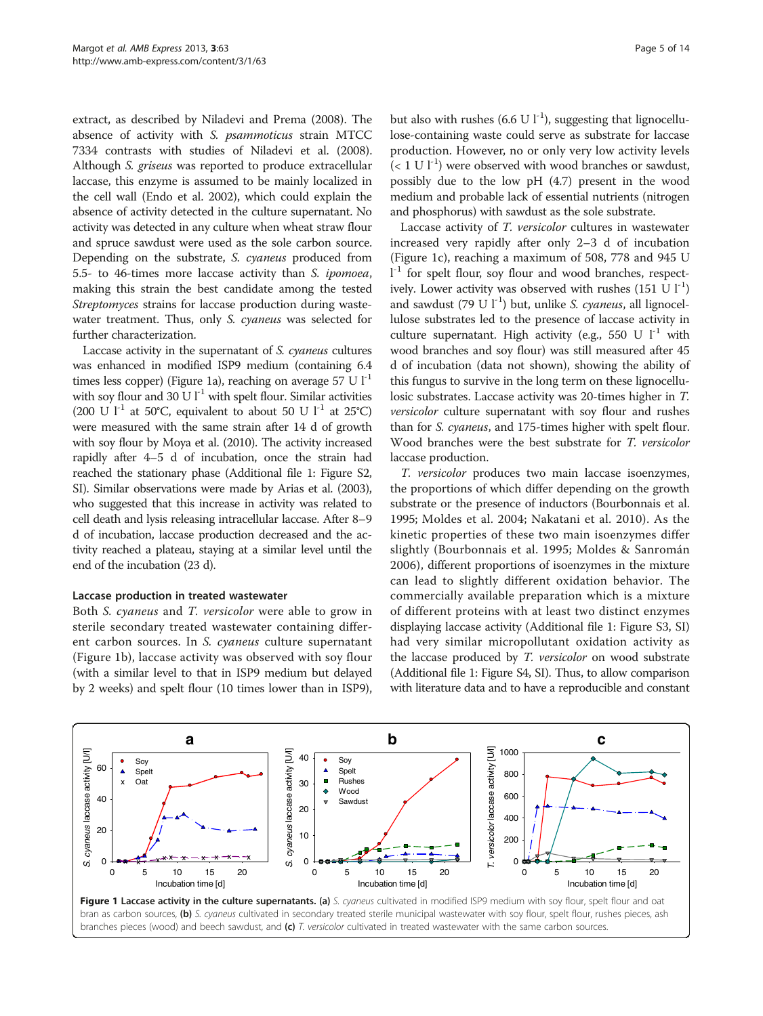extract, as described by Niladevi and Prema [\(2008](#page-13-0)). The absence of activity with S. psammoticus strain MTCC 7334 contrasts with studies of Niladevi et al. [\(2008](#page-13-0)). Although S. griseus was reported to produce extracellular laccase, this enzyme is assumed to be mainly localized in the cell wall (Endo et al. [2002](#page-12-0)), which could explain the absence of activity detected in the culture supernatant. No activity was detected in any culture when wheat straw flour and spruce sawdust were used as the sole carbon source. Depending on the substrate, S. cyaneus produced from 5.5- to 46-times more laccase activity than S. ipomoea, making this strain the best candidate among the tested Streptomyces strains for laccase production during wastewater treatment. Thus, only S. cyaneus was selected for further characterization.

Laccase activity in the supernatant of S. cyaneus cultures was enhanced in modified ISP9 medium (containing 6.4 times less copper) (Figure 1a), reaching on average 57 U  $1^{-1}$ with soy flour and 30 U  $I^{-1}$  with spelt flour. Similar activities (200 U  $l^{-1}$  at 50°C, equivalent to about 50 U  $l^{-1}$  at 25°C) were measured with the same strain after 14 d of growth with soy flour by Moya et al. [\(2010](#page-13-0)). The activity increased rapidly after 4–5 d of incubation, once the strain had reached the stationary phase (Additional file [1](#page-12-0): Figure S2, SI). Similar observations were made by Arias et al. ([2003](#page-12-0)), who suggested that this increase in activity was related to cell death and lysis releasing intracellular laccase. After 8–9 d of incubation, laccase production decreased and the activity reached a plateau, staying at a similar level until the end of the incubation (23 d).

## Laccase production in treated wastewater

Both S. cyaneus and T. versicolor were able to grow in sterile secondary treated wastewater containing different carbon sources. In S. cyaneus culture supernatant (Figure 1b), laccase activity was observed with soy flour (with a similar level to that in ISP9 medium but delayed by 2 weeks) and spelt flour (10 times lower than in ISP9),

but also with rushes  $(6.6 \text{ U } l^{-1})$ , suggesting that lignocellulose-containing waste could serve as substrate for laccase production. However, no or only very low activity levels  $(< 1 \mathrm{U} \mathrm{I}^{-1})$  were observed with wood branches or sawdust, possibly due to the low pH (4.7) present in the wood medium and probable lack of essential nutrients (nitrogen and phosphorus) with sawdust as the sole substrate.

Laccase activity of T. versicolor cultures in wastewater increased very rapidly after only 2–3 d of incubation (Figure 1c), reaching a maximum of 508, 778 and 945 U  $l<sup>-1</sup>$  for spelt flour, soy flour and wood branches, respectively. Lower activity was observed with rushes  $(151 \text{ U } l^{-1})$ and sawdust (79 U  $1^{-1}$ ) but, unlike S. cyaneus, all lignocellulose substrates led to the presence of laccase activity in culture supernatant. High activity (e.g., 550 U  $1^{-1}$  with wood branches and soy flour) was still measured after 45 d of incubation (data not shown), showing the ability of this fungus to survive in the long term on these lignocellulosic substrates. Laccase activity was 20-times higher in T. versicolor culture supernatant with soy flour and rushes than for S. cyaneus, and 175-times higher with spelt flour. Wood branches were the best substrate for T. versicolor laccase production.

T. versicolor produces two main laccase isoenzymes, the proportions of which differ depending on the growth substrate or the presence of inductors (Bourbonnais et al. [1995](#page-12-0); Moldes et al. [2004](#page-13-0); Nakatani et al. [2010\)](#page-13-0). As the kinetic properties of these two main isoenzymes differ slightly (Bourbonnais et al. [1995](#page-12-0); Moldes & Sanromán [2006](#page-13-0)), different proportions of isoenzymes in the mixture can lead to slightly different oxidation behavior. The commercially available preparation which is a mixture of different proteins with at least two distinct enzymes displaying laccase activity (Additional file [1:](#page-12-0) Figure S3, SI) had very similar micropollutant oxidation activity as the laccase produced by T. versicolor on wood substrate (Additional file [1:](#page-12-0) Figure S4, SI). Thus, to allow comparison with literature data and to have a reproducible and constant

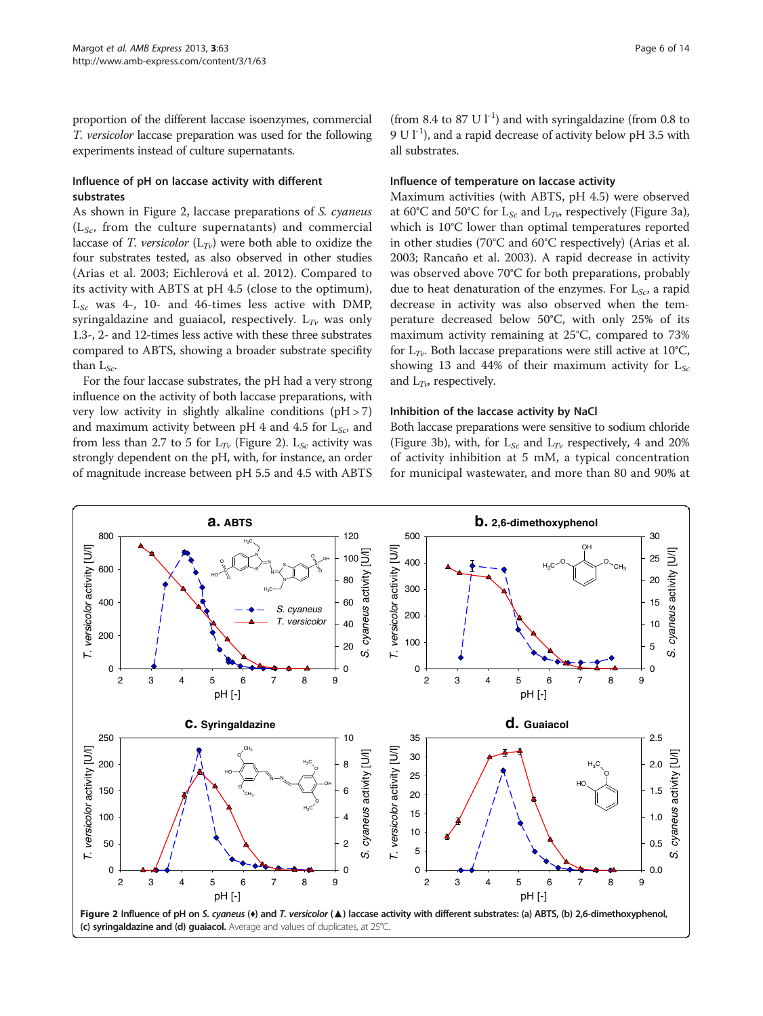proportion of the different laccase isoenzymes, commercial T. versicolor laccase preparation was used for the following experiments instead of culture supernatants.

## Influence of pH on laccase activity with different substrates

As shown in Figure 2, laccase preparations of S. cyaneus  $(L_{Sc}$  from the culture supernatants) and commercial laccase of T. versicolor  $(L_T)$  were both able to oxidize the four substrates tested, as also observed in other studies (Arias et al. [2003](#page-12-0); Eichlerová et al. [2012](#page-12-0)). Compared to its activity with ABTS at pH 4.5 (close to the optimum),  $L_{S_c}$  was 4-, 10- and 46-times less active with DMP, syringaldazine and guaiacol, respectively.  $L_{T_v}$  was only 1.3-, 2- and 12-times less active with these three substrates compared to ABTS, showing a broader substrate specifity than  $L_{S_{cr}}$ 

For the four laccase substrates, the pH had a very strong influence on the activity of both laccase preparations, with very low activity in slightly alkaline conditions  $(pH > 7)$ and maximum activity between pH 4 and 4.5 for  $L_{Sc}$ , and from less than 2.7 to 5 for  $L_{T_v}$  (Figure 2).  $L_{Sc}$  activity was strongly dependent on the pH, with, for instance, an order of magnitude increase between pH 5.5 and 4.5 with ABTS

(from 8.4 to 87 U  $\mathfrak{l}^{-1}$ ) and with syringaldazine (from 0.8 to 9 U  $I^{-1}$ ), and a rapid decrease of activity below pH 3.5 with all substrates.

## Influence of temperature on laccase activity

Maximum activities (with ABTS, pH 4.5) were observed at 60°C and 50°C for  $L_{Sc}$  and  $L_{Tv}$  respectively (Figure [3a](#page-6-0)), which is 10°C lower than optimal temperatures reported in other studies (70°C and 60°C respectively) (Arias et al. [2003](#page-12-0); Rancaño et al. [2003\)](#page-13-0). A rapid decrease in activity was observed above 70°C for both preparations, probably due to heat denaturation of the enzymes. For  $L_{S_{C}}$  a rapid decrease in activity was also observed when the temperature decreased below 50°C, with only 25% of its maximum activity remaining at 25°C, compared to 73% for  $L_{T_v}$ . Both laccase preparations were still active at 10°C, showing 13 and 44% of their maximum activity for  $L_{Sc}$ and  $L_{Tv}$  respectively.

#### Inhibition of the laccase activity by NaCl

Both laccase preparations were sensitive to sodium chloride (Figure [3](#page-6-0)b), with, for  $L_{Sc}$  and  $L_{Tv}$  respectively, 4 and 20% of activity inhibition at 5 mM, a typical concentration for municipal wastewater, and more than 80 and 90% at

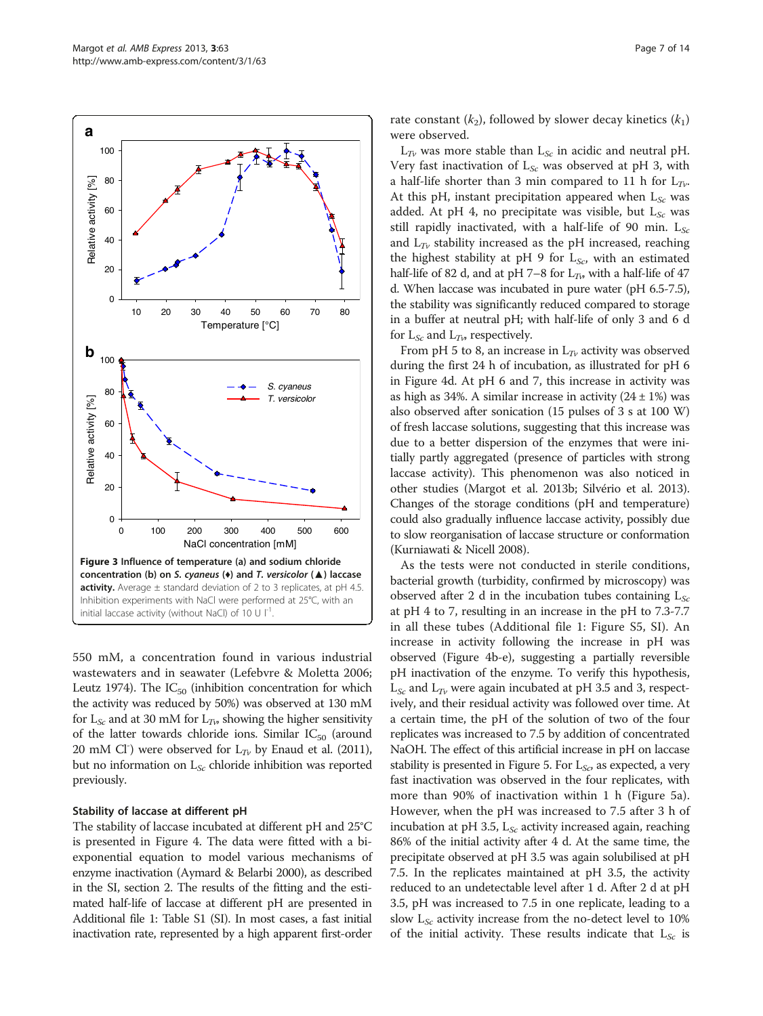<span id="page-6-0"></span>

550 mM, a concentration found in various industrial wastewaters and in seawater (Lefebvre & Moletta [2006](#page-12-0); Leutz [1974](#page-12-0)). The  $IC_{50}$  (inhibition concentration for which the activity was reduced by 50%) was observed at 130 mM for  $L_{Sc}$  and at 30 mM for  $L_{Tv}$  showing the higher sensitivity of the latter towards chloride ions. Similar  $IC_{50}$  (around 20 mM Cl<sup>-</sup>) were observed for  $L_{Tv}$  by Enaud et al. [\(2011](#page-12-0)),<br>but no information on L<sub>rb</sub> chlorido inhibition was reported but no information on  $L_{Sc}$  chloride inhibition was reported previously.

#### Stability of laccase at different pH

The stability of laccase incubated at different pH and 25°C is presented in Figure [4](#page-7-0). The data were fitted with a biexponential equation to model various mechanisms of enzyme inactivation (Aymard & Belarbi [2000\)](#page-12-0), as described in the SI, section 2. The results of the fitting and the estimated half-life of laccase at different pH are presented in Additional file [1](#page-12-0): Table S1 (SI). In most cases, a fast initial inactivation rate, represented by a high apparent first-order rate constant  $(k_2)$ , followed by slower decay kinetics  $(k_1)$ were observed.

 $L_{Tv}$  was more stable than  $L_{Sc}$  in acidic and neutral pH. Very fast inactivation of  $L_{Sc}$  was observed at pH 3, with a half-life shorter than 3 min compared to 11 h for  $L_{T_v}$ . At this pH, instant precipitation appeared when  $L_{Sc}$  was added. At pH 4, no precipitate was visible, but  $L_{Sc}$  was still rapidly inactivated, with a half-life of 90 min.  $L_{Sc}$ and  $L_{Tv}$  stability increased as the pH increased, reaching the highest stability at pH 9 for  $L_{Sc}$ , with an estimated half-life of 82 d, and at pH 7–8 for  $L_{Tv}$ , with a half-life of 47 d. When laccase was incubated in pure water (pH 6.5-7.5), the stability was significantly reduced compared to storage in a buffer at neutral pH; with half-life of only 3 and 6 d for  $L_{Sc}$  and  $L_{T\nu}$  respectively.

From pH 5 to 8, an increase in  $L_{T_v}$  activity was observed during the first 24 h of incubation, as illustrated for pH 6 in Figure [4d](#page-7-0). At pH 6 and 7, this increase in activity was as high as 34%. A similar increase in activity  $(24 \pm 1\%)$  was also observed after sonication (15 pulses of 3 s at 100 W) of fresh laccase solutions, suggesting that this increase was due to a better dispersion of the enzymes that were initially partly aggregated (presence of particles with strong laccase activity). This phenomenon was also noticed in other studies (Margot et al. [2013b;](#page-13-0) Silvério et al. [2013](#page-13-0)). Changes of the storage conditions (pH and temperature) could also gradually influence laccase activity, possibly due to slow reorganisation of laccase structure or conformation (Kurniawati & Nicell [2008](#page-12-0)).

As the tests were not conducted in sterile conditions, bacterial growth (turbidity, confirmed by microscopy) was observed after 2 d in the incubation tubes containing  $L_{Sc}$ at pH 4 to 7, resulting in an increase in the pH to 7.3-7.7 in all these tubes (Additional file [1](#page-12-0): Figure S5, SI). An increase in activity following the increase in pH was observed (Figure [4b](#page-7-0)-e), suggesting a partially reversible pH inactivation of the enzyme. To verify this hypothesis,  $L_{Sc}$  and  $L_{Tv}$  were again incubated at pH 3.5 and 3, respectively, and their residual activity was followed over time. At a certain time, the pH of the solution of two of the four replicates was increased to 7.5 by addition of concentrated NaOH. The effect of this artificial increase in pH on laccase stability is presented in Figure [5.](#page-8-0) For  $L_{Sc}$ , as expected, a very fast inactivation was observed in the four replicates, with more than 90% of inactivation within 1 h (Figure [5a](#page-8-0)). However, when the pH was increased to 7.5 after 3 h of incubation at pH 3.5,  $L_{Sc}$  activity increased again, reaching 86% of the initial activity after 4 d. At the same time, the precipitate observed at pH 3.5 was again solubilised at pH 7.5. In the replicates maintained at pH 3.5, the activity reduced to an undetectable level after 1 d. After 2 d at pH 3.5, pH was increased to 7.5 in one replicate, leading to a slow  $L_{Sc}$  activity increase from the no-detect level to 10% of the initial activity. These results indicate that  $L_{Sc}$  is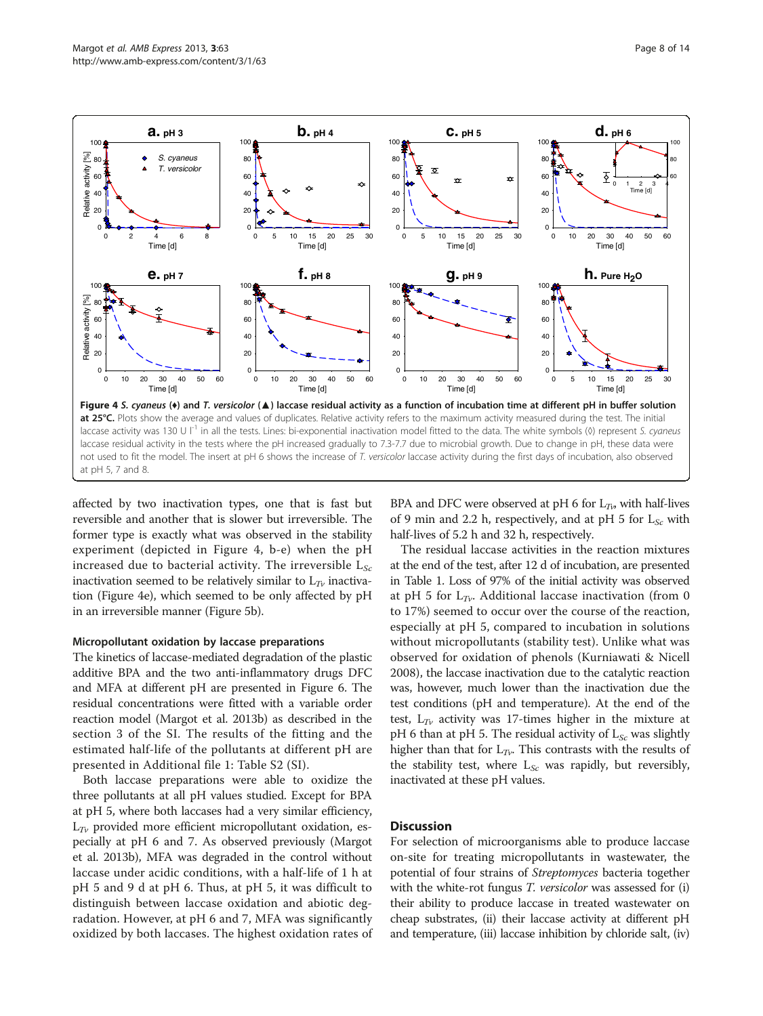<span id="page-7-0"></span>

affected by two inactivation types, one that is fast but reversible and another that is slower but irreversible. The former type is exactly what was observed in the stability experiment (depicted in Figure 4, b-e) when the pH increased due to bacterial activity. The irreversible  $L_{Sc}$ inactivation seemed to be relatively similar to  $L_{T_v}$  inactivation (Figure 4e), which seemed to be only affected by pH in an irreversible manner (Figure [5b](#page-8-0)).

#### Micropollutant oxidation by laccase preparations

The kinetics of laccase-mediated degradation of the plastic additive BPA and the two anti-inflammatory drugs DFC and MFA at different pH are presented in Figure [6.](#page-9-0) The residual concentrations were fitted with a variable order reaction model (Margot et al. [2013b\)](#page-13-0) as described in the section 3 of the SI. The results of the fitting and the estimated half-life of the pollutants at different pH are presented in Additional file [1](#page-12-0): Table S2 (SI).

Both laccase preparations were able to oxidize the three pollutants at all pH values studied. Except for BPA at pH 5, where both laccases had a very similar efficiency,  $L_{Tv}$  provided more efficient micropollutant oxidation, especially at pH 6 and 7. As observed previously (Margot et al. [2013b](#page-13-0)), MFA was degraded in the control without laccase under acidic conditions, with a half-life of 1 h at pH 5 and 9 d at pH 6. Thus, at pH 5, it was difficult to distinguish between laccase oxidation and abiotic degradation. However, at pH 6 and 7, MFA was significantly oxidized by both laccases. The highest oxidation rates of

BPA and DFC were observed at pH 6 for  $L_{T\nu}$ , with half-lives of 9 min and 2.2 h, respectively, and at pH 5 for  $L_{Sc}$  with half-lives of 5.2 h and 32 h, respectively.

The residual laccase activities in the reaction mixtures at the end of the test, after 12 d of incubation, are presented in Table [1](#page-9-0). Loss of 97% of the initial activity was observed at pH 5 for  $L_{T\nu}$ . Additional laccase inactivation (from 0 to 17%) seemed to occur over the course of the reaction, especially at pH 5, compared to incubation in solutions without micropollutants (stability test). Unlike what was observed for oxidation of phenols (Kurniawati & Nicell [2008\)](#page-12-0), the laccase inactivation due to the catalytic reaction was, however, much lower than the inactivation due the test conditions (pH and temperature). At the end of the test,  $L_{Tv}$  activity was 17-times higher in the mixture at pH 6 than at pH 5. The residual activity of  $L_{Sc}$  was slightly higher than that for  $L_{Tv}$ . This contrasts with the results of the stability test, where  $L_{Sc}$  was rapidly, but reversibly, inactivated at these pH values.

## **Discussion**

For selection of microorganisms able to produce laccase on-site for treating micropollutants in wastewater, the potential of four strains of Streptomyces bacteria together with the white-rot fungus *T. versicolor* was assessed for (i) their ability to produce laccase in treated wastewater on cheap substrates, (ii) their laccase activity at different pH and temperature, (iii) laccase inhibition by chloride salt, (iv)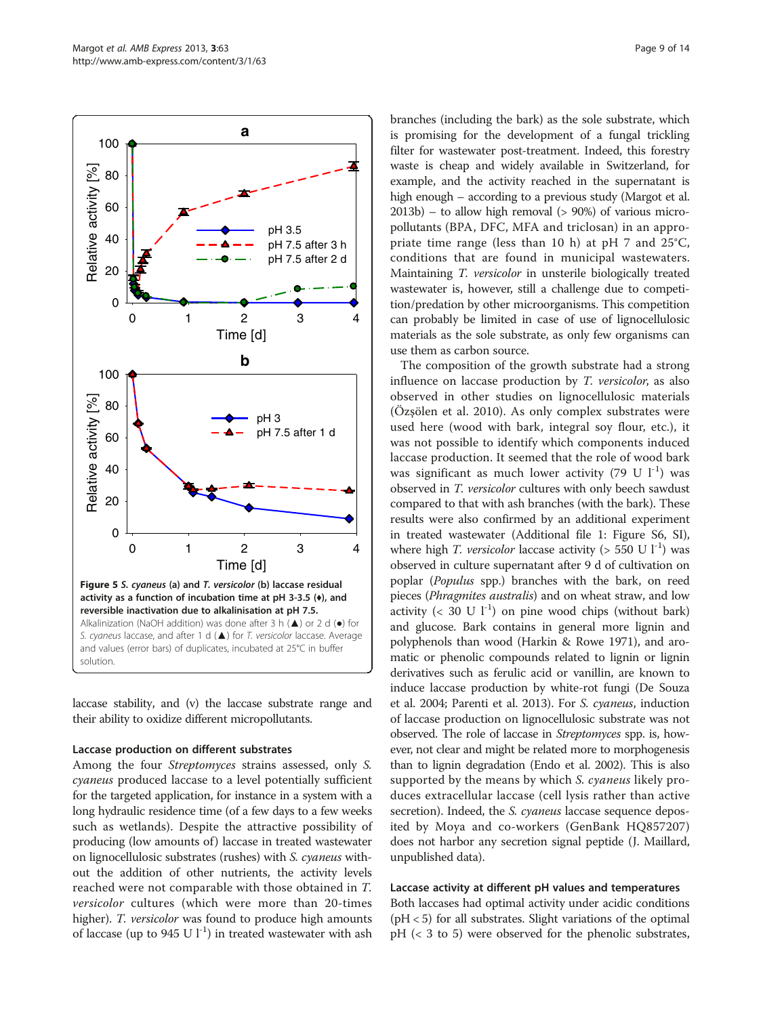<span id="page-8-0"></span>

laccase stability, and (v) the laccase substrate range and their ability to oxidize different micropollutants.

#### Laccase production on different substrates

Among the four Streptomyces strains assessed, only S. cyaneus produced laccase to a level potentially sufficient for the targeted application, for instance in a system with a long hydraulic residence time (of a few days to a few weeks such as wetlands). Despite the attractive possibility of producing (low amounts of) laccase in treated wastewater on lignocellulosic substrates (rushes) with S. cyaneus without the addition of other nutrients, the activity levels reached were not comparable with those obtained in T. versicolor cultures (which were more than 20-times higher). T. versicolor was found to produce high amounts of laccase (up to 945 U  $1^{-1}$ ) in treated wastewater with ash branches (including the bark) as the sole substrate, which is promising for the development of a fungal trickling filter for wastewater post-treatment. Indeed, this forestry waste is cheap and widely available in Switzerland, for example, and the activity reached in the supernatant is high enough – according to a previous study (Margot et al.  $2013b$  – to allow high removal ( $> 90\%$ ) of various micropollutants (BPA, DFC, MFA and triclosan) in an appropriate time range (less than 10 h) at pH 7 and 25°C, conditions that are found in municipal wastewaters. Maintaining T. versicolor in unsterile biologically treated wastewater is, however, still a challenge due to competition/predation by other microorganisms. This competition can probably be limited in case of use of lignocellulosic materials as the sole substrate, as only few organisms can use them as carbon source.

The composition of the growth substrate had a strong influence on laccase production by T. versicolor, as also observed in other studies on lignocellulosic materials (Özşölen et al. [2010\)](#page-13-0). As only complex substrates were used here (wood with bark, integral soy flour, etc.), it was not possible to identify which components induced laccase production. It seemed that the role of wood bark was significant as much lower activity (79 U  $1^{-1}$ ) was observed in T. versicolor cultures with only beech sawdust compared to that with ash branches (with the bark). These results were also confirmed by an additional experiment in treated wastewater (Additional file [1](#page-12-0): Figure S6, SI), where high *T. versicolor* laccase activity ( $> 550 \text{ U } l^{-1}$ ) was observed in culture supernatant after 9 d of cultivation on poplar (Populus spp.) branches with the bark, on reed pieces (Phragmites australis) and on wheat straw, and low activity (< 30 U  $1^{-1}$ ) on pine wood chips (without bark) and glucose. Bark contains in general more lignin and polyphenols than wood (Harkin & Rowe [1971\)](#page-12-0), and aromatic or phenolic compounds related to lignin or lignin derivatives such as ferulic acid or vanillin, are known to induce laccase production by white-rot fungi (De Souza et al. [2004](#page-12-0); Parenti et al. [2013](#page-13-0)). For S. cyaneus, induction of laccase production on lignocellulosic substrate was not observed. The role of laccase in Streptomyces spp. is, however, not clear and might be related more to morphogenesis than to lignin degradation (Endo et al. [2002\)](#page-12-0). This is also supported by the means by which *S. cyaneus* likely produces extracellular laccase (cell lysis rather than active secretion). Indeed, the *S. cyaneus* laccase sequence deposited by Moya and co-workers (GenBank HQ857207) does not harbor any secretion signal peptide (J. Maillard, unpublished data).

## Laccase activity at different pH values and temperatures

Both laccases had optimal activity under acidic conditions  $(pH < 5)$  for all substrates. Slight variations of the optimal pH (< 3 to 5) were observed for the phenolic substrates,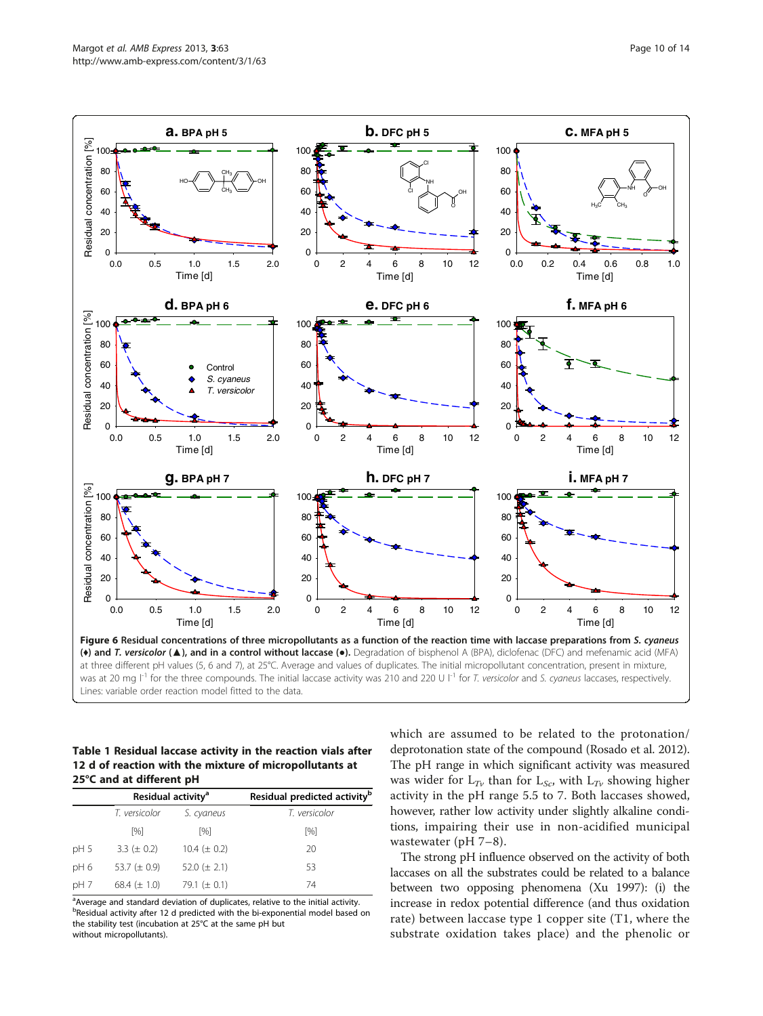<span id="page-9-0"></span>

Lines: variable order reaction model fitted to the data.

## Table 1 Residual laccase activity in the reaction vials after 12 d of reaction with the mixture of micropollutants at 25°C and at different pH

|                 | Residual activity <sup>a</sup> |                    | Residual predicted activity <sup>b</sup> |
|-----------------|--------------------------------|--------------------|------------------------------------------|
|                 | T. versicolor                  | S. cyaneus         | T. versicolor                            |
|                 | [%]                            | $\lceil 96 \rceil$ | [%]                                      |
| pH <sub>5</sub> | 3.3 ( $\pm$ 0.2)               | $10.4 (\pm 0.2)$   | 20                                       |
| pH 6            | 53.7 ( $\pm$ 0.9)              | 52.0 ( $\pm$ 2.1)  | 53                                       |
| pH 7            | 68.4 $(\pm 1.0)$               | 79.1 ( $\pm$ 0.1)  | 74                                       |

<sup>a</sup>Average and standard deviation of duplicates, relative to the initial activity. <sup>b</sup>Residual activity after 12 d predicted with the bi-exponential model based on the stability test (incubation at 25°C at the same pH but without micropollutants).

which are assumed to be related to the protonation/ deprotonation state of the compound (Rosado et al. [2012](#page-13-0)). The pH range in which significant activity was measured was wider for  $L_{T_v}$  than for  $L_{Sc}$ , with  $L_{T_v}$  showing higher activity in the pH range 5.5 to 7. Both laccases showed, however, rather low activity under slightly alkaline conditions, impairing their use in non-acidified municipal wastewater (pH 7–8).

The strong pH influence observed on the activity of both laccases on all the substrates could be related to a balance between two opposing phenomena (Xu [1997](#page-13-0)): (i) the increase in redox potential difference (and thus oxidation rate) between laccase type 1 copper site (T1, where the substrate oxidation takes place) and the phenolic or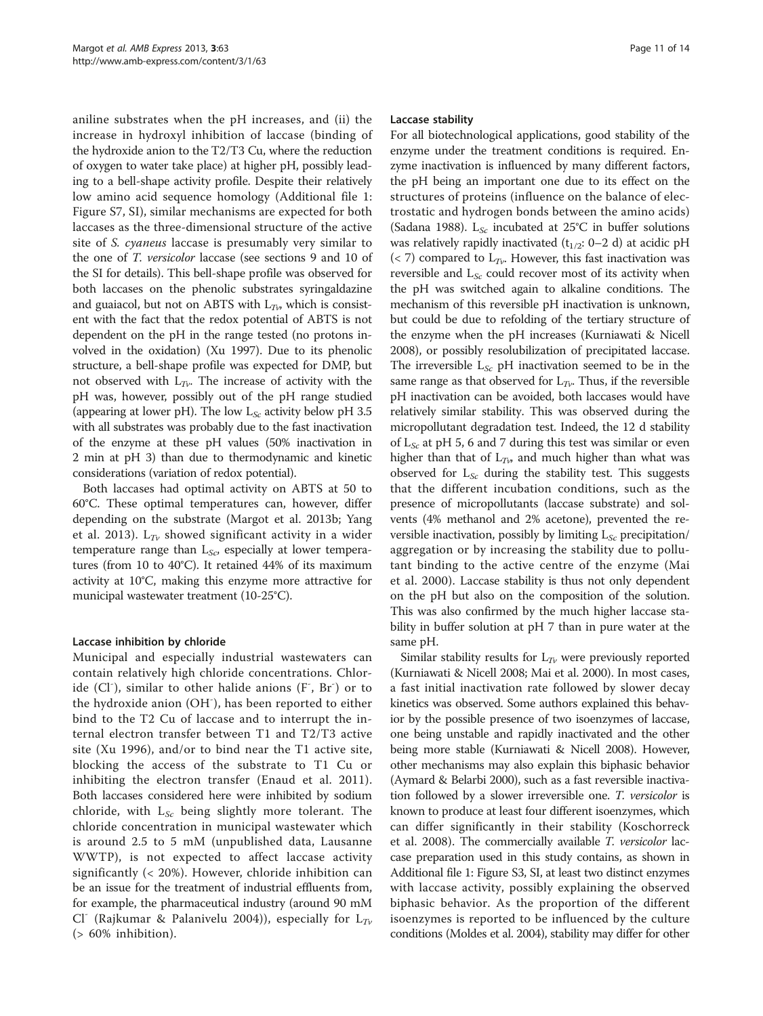aniline substrates when the pH increases, and (ii) the increase in hydroxyl inhibition of laccase (binding of the hydroxide anion to the T2/T3 Cu, where the reduction of oxygen to water take place) at higher pH, possibly leading to a bell-shape activity profile. Despite their relatively low amino acid sequence homology (Additional file [1](#page-12-0): Figure S7, SI), similar mechanisms are expected for both laccases as the three-dimensional structure of the active site of S. cyaneus laccase is presumably very similar to the one of T. versicolor laccase (see sections 9 and 10 of the SI for details). This bell-shape profile was observed for both laccases on the phenolic substrates syringaldazine and guaiacol, but not on ABTS with  $L_{\tau_{\nu}}$  which is consistent with the fact that the redox potential of ABTS is not dependent on the pH in the range tested (no protons involved in the oxidation) (Xu [1997\)](#page-13-0). Due to its phenolic structure, a bell-shape profile was expected for DMP, but not observed with  $L_{Tv}$ . The increase of activity with the pH was, however, possibly out of the pH range studied (appearing at lower pH). The low  $L_{Sc}$  activity below pH 3.5 with all substrates was probably due to the fast inactivation of the enzyme at these pH values (50% inactivation in 2 min at pH 3) than due to thermodynamic and kinetic considerations (variation of redox potential).

Both laccases had optimal activity on ABTS at 50 to 60°C. These optimal temperatures can, however, differ depending on the substrate (Margot et al. [2013b](#page-13-0); Yang et al. [2013](#page-13-0)).  $L_{T_v}$  showed significant activity in a wider temperature range than  $L_{Sc}$ , especially at lower temperatures (from 10 to 40°C). It retained 44% of its maximum activity at 10°C, making this enzyme more attractive for municipal wastewater treatment (10-25°C).

## Laccase inhibition by chloride

Municipal and especially industrial wastewaters can contain relatively high chloride concentrations. Chloride (Cl<sup>-</sup>), similar to other halide anions (F<sup>-</sup>, Br<sup>-</sup>) or to the hydroxide anion (OH<sup>-</sup>), has been reported to either bind to the T2 Cu of laccase and to interrupt the internal electron transfer between T1 and T2/T3 active site (Xu [1996\)](#page-13-0), and/or to bind near the T1 active site, blocking the access of the substrate to T1 Cu or inhibiting the electron transfer (Enaud et al. [2011](#page-12-0)). Both laccases considered here were inhibited by sodium chloride, with  $L_{Sc}$  being slightly more tolerant. The chloride concentration in municipal wastewater which is around 2.5 to 5 mM (unpublished data, Lausanne WWTP), is not expected to affect laccase activity significantly (< 20%). However, chloride inhibition can be an issue for the treatment of industrial effluents from, for example, the pharmaceutical industry (around 90 mM Cl<sup>-</sup> (Rajkumar & Palanivelu [2004\)](#page-13-0)), especially for  $L_{Tv}$ (> 60% inhibition).

#### Laccase stability

For all biotechnological applications, good stability of the enzyme under the treatment conditions is required. Enzyme inactivation is influenced by many different factors, the pH being an important one due to its effect on the structures of proteins (influence on the balance of electrostatic and hydrogen bonds between the amino acids) (Sadana [1988](#page-13-0)).  $L_{Sc}$  incubated at 25°C in buffer solutions was relatively rapidly inactivated  $(t_{1/2}: 0-2$  d) at acidic pH (< 7) compared to  $L_{T_{V}}$ . However, this fast inactivation was reversible and  $L_{Sc}$  could recover most of its activity when the pH was switched again to alkaline conditions. The mechanism of this reversible pH inactivation is unknown, but could be due to refolding of the tertiary structure of the enzyme when the pH increases (Kurniawati & Nicell [2008](#page-12-0)), or possibly resolubilization of precipitated laccase. The irreversible  $L_{Sc}$  pH inactivation seemed to be in the same range as that observed for  $L_{T_{V}}$ . Thus, if the reversible pH inactivation can be avoided, both laccases would have relatively similar stability. This was observed during the micropollutant degradation test. Indeed, the 12 d stability of  $L_{Sc}$  at pH 5, 6 and 7 during this test was similar or even higher than that of  $L_{Tv}$  and much higher than what was observed for  $L_{Sc}$  during the stability test. This suggests that the different incubation conditions, such as the presence of micropollutants (laccase substrate) and solvents (4% methanol and 2% acetone), prevented the reversible inactivation, possibly by limiting  $L_{Sc}$  precipitation/ aggregation or by increasing the stability due to pollutant binding to the active centre of the enzyme (Mai et al. [2000\)](#page-12-0). Laccase stability is thus not only dependent on the pH but also on the composition of the solution. This was also confirmed by the much higher laccase stability in buffer solution at pH 7 than in pure water at the same pH.

Similar stability results for  $L_{T_v}$  were previously reported (Kurniawati & Nicell [2008;](#page-12-0) Mai et al. [2000](#page-12-0)). In most cases, a fast initial inactivation rate followed by slower decay kinetics was observed. Some authors explained this behavior by the possible presence of two isoenzymes of laccase, one being unstable and rapidly inactivated and the other being more stable (Kurniawati & Nicell [2008](#page-12-0)). However, other mechanisms may also explain this biphasic behavior (Aymard & Belarbi [2000](#page-12-0)), such as a fast reversible inactivation followed by a slower irreversible one. T. versicolor is known to produce at least four different isoenzymes, which can differ significantly in their stability (Koschorreck et al. [2008\)](#page-12-0). The commercially available T. versicolor laccase preparation used in this study contains, as shown in Additional file [1:](#page-12-0) Figure S3, SI, at least two distinct enzymes with laccase activity, possibly explaining the observed biphasic behavior. As the proportion of the different isoenzymes is reported to be influenced by the culture conditions (Moldes et al. [2004](#page-13-0)), stability may differ for other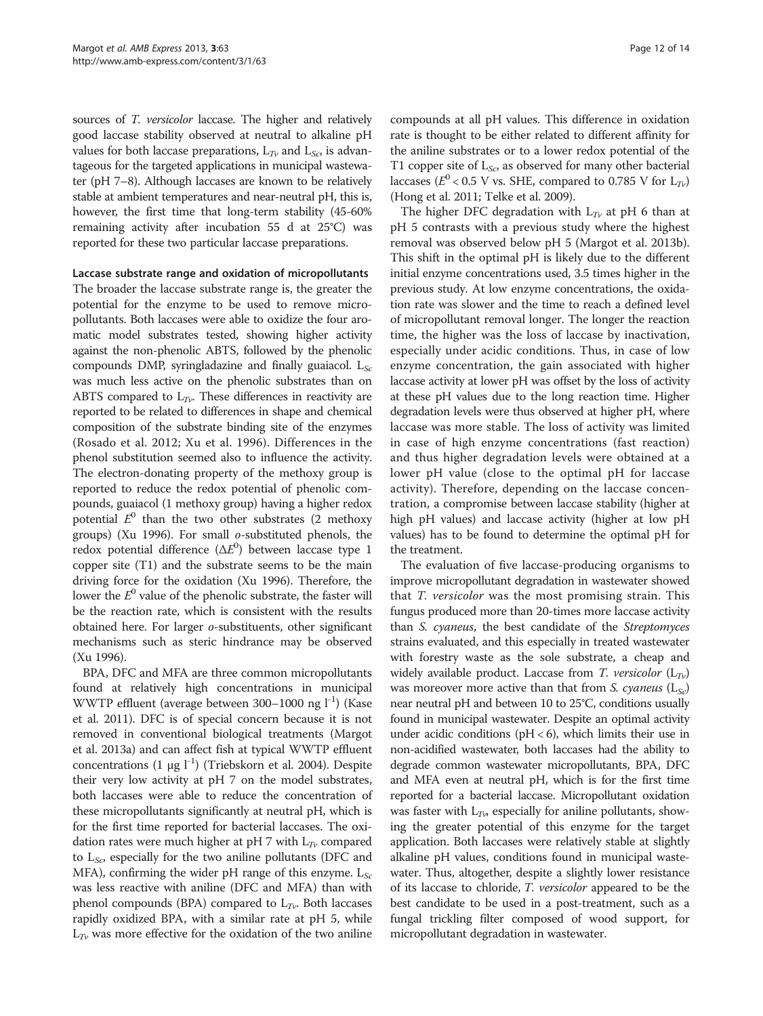sources of *T. versicolor* laccase. The higher and relatively good laccase stability observed at neutral to alkaline pH values for both laccase preparations,  $L_{T_v}$  and  $L_{Sc}$ , is advantageous for the targeted applications in municipal wastewater (pH 7–8). Although laccases are known to be relatively stable at ambient temperatures and near-neutral pH, this is, however, the first time that long-term stability (45-60% remaining activity after incubation 55 d at 25°C) was reported for these two particular laccase preparations.

Laccase substrate range and oxidation of micropollutants

The broader the laccase substrate range is, the greater the potential for the enzyme to be used to remove micropollutants. Both laccases were able to oxidize the four aromatic model substrates tested, showing higher activity against the non-phenolic ABTS, followed by the phenolic compounds DMP, syringladazine and finally guaiacol.  $L_{Sc}$ was much less active on the phenolic substrates than on ABTS compared to  $L_{T_{V}}$ . These differences in reactivity are reported to be related to differences in shape and chemical composition of the substrate binding site of the enzymes (Rosado et al. [2012;](#page-13-0) Xu et al. [1996](#page-13-0)). Differences in the phenol substitution seemed also to influence the activity. The electron-donating property of the methoxy group is reported to reduce the redox potential of phenolic compounds, guaiacol (1 methoxy group) having a higher redox potential  $E^0$  than the two other substrates (2 methoxy groups) (Xu [1996](#page-13-0)). For small o-substituted phenols, the redox potential difference  $(ΔE<sup>0</sup>)$  between laccase type 1<br>conner site (T1) and the substrate seems to be the main copper site (T1) and the substrate seems to be the main driving force for the oxidation (Xu [1996\)](#page-13-0). Therefore, the lower the  $E^0$  value of the phenolic substrate, the faster will be the reaction rate, which is consistent with the results obtained here. For larger o-substituents, other significant mechanisms such as steric hindrance may be observed (Xu [1996\)](#page-13-0).

BPA, DFC and MFA are three common micropollutants found at relatively high concentrations in municipal WWTP effluent (average between  $300-1000$  ng  $l^{-1}$ ) (Kase et al. [2011](#page-12-0)). DFC is of special concern because it is not removed in conventional biological treatments (Margot et al. [2013a\)](#page-13-0) and can affect fish at typical WWTP effluent concentrations  $(1 \mu g l^{-1})$  (Triebskorn et al. [2004\)](#page-13-0). Despite their very low activity at pH 7 on the model substrates, both laccases were able to reduce the concentration of these micropollutants significantly at neutral pH, which is for the first time reported for bacterial laccases. The oxidation rates were much higher at pH 7 with  $L_{T_v}$  compared to  $L_{\text{S}c}$ , especially for the two aniline pollutants (DFC and MFA), confirming the wider pH range of this enzyme.  $L_{Sc}$ was less reactive with aniline (DFC and MFA) than with phenol compounds (BPA) compared to  $L_{T_{V}}$ . Both laccases rapidly oxidized BPA, with a similar rate at pH 5, while  $L_{T_v}$  was more effective for the oxidation of the two aniline

compounds at all pH values. This difference in oxidation rate is thought to be either related to different affinity for the aniline substrates or to a lower redox potential of the T1 copper site of  $L_{Sc}$ , as observed for many other bacterial laccases ( $E^0$  < 0.5 V vs. SHE, compared to 0.785 V for  $L_{Tv}$ ) (Hong et al. [2011;](#page-12-0) Telke et al. [2009](#page-13-0)).

The higher DFC degradation with  $L_{T_v}$  at pH 6 than at pH 5 contrasts with a previous study where the highest removal was observed below pH 5 (Margot et al. [2013b](#page-13-0)). This shift in the optimal pH is likely due to the different initial enzyme concentrations used, 3.5 times higher in the previous study. At low enzyme concentrations, the oxidation rate was slower and the time to reach a defined level of micropollutant removal longer. The longer the reaction time, the higher was the loss of laccase by inactivation, especially under acidic conditions. Thus, in case of low enzyme concentration, the gain associated with higher laccase activity at lower pH was offset by the loss of activity at these pH values due to the long reaction time. Higher degradation levels were thus observed at higher pH, where laccase was more stable. The loss of activity was limited in case of high enzyme concentrations (fast reaction) and thus higher degradation levels were obtained at a lower pH value (close to the optimal pH for laccase activity). Therefore, depending on the laccase concentration, a compromise between laccase stability (higher at high pH values) and laccase activity (higher at low pH values) has to be found to determine the optimal pH for the treatment.

The evaluation of five laccase-producing organisms to improve micropollutant degradation in wastewater showed that T. versicolor was the most promising strain. This fungus produced more than 20-times more laccase activity than S. cyaneus, the best candidate of the Streptomyces strains evaluated, and this especially in treated wastewater with forestry waste as the sole substrate, a cheap and widely available product. Laccase from T. versicolor  $(L_{Tv})$ was moreover more active than that from *S. cyaneus* ( $L_{Sc}$ ) near neutral pH and between 10 to 25°C, conditions usually found in municipal wastewater. Despite an optimal activity under acidic conditions ( $pH < 6$ ), which limits their use in non-acidified wastewater, both laccases had the ability to degrade common wastewater micropollutants, BPA, DFC and MFA even at neutral pH, which is for the first time reported for a bacterial laccase. Micropollutant oxidation was faster with  $L_{T\nu}$  especially for aniline pollutants, showing the greater potential of this enzyme for the target application. Both laccases were relatively stable at slightly alkaline pH values, conditions found in municipal wastewater. Thus, altogether, despite a slightly lower resistance of its laccase to chloride, T. versicolor appeared to be the best candidate to be used in a post-treatment, such as a fungal trickling filter composed of wood support, for micropollutant degradation in wastewater.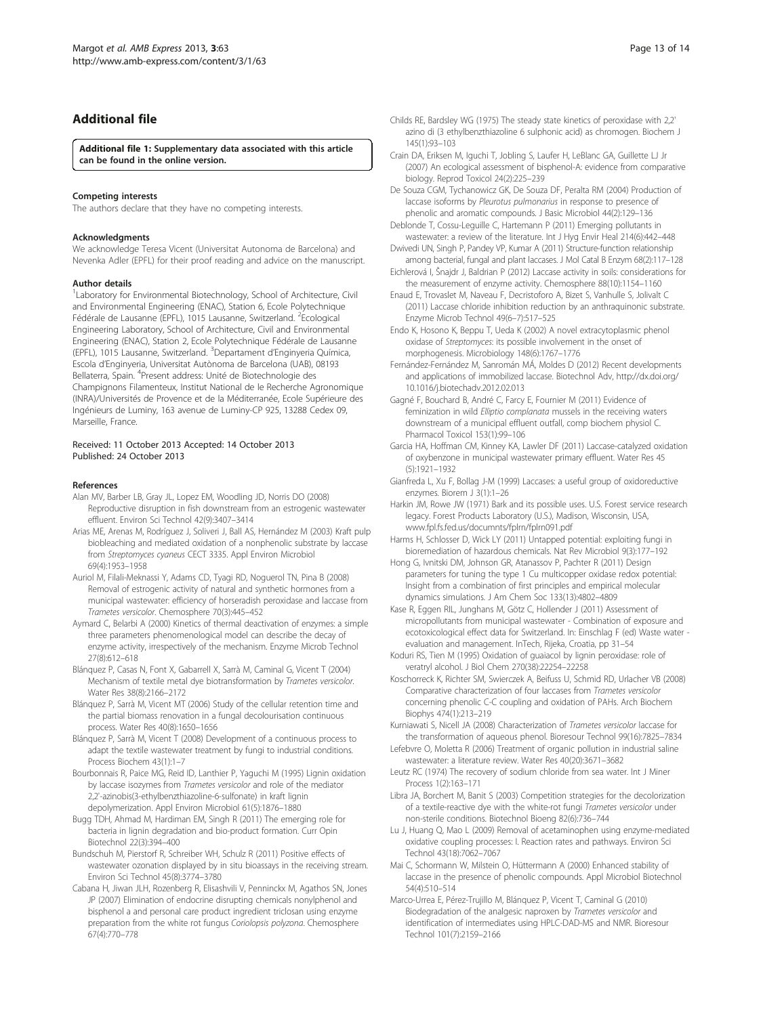## <span id="page-12-0"></span>Additional file

[Additional file 1:](http://www.biomedcentral.com/content/supplementary/2191-0855-3-63-S1.pdf) Supplementary data associated with this article can be found in the online version.

#### Competing interests

The authors declare that they have no competing interests.

#### Acknowledgments

We acknowledge Teresa Vicent (Universitat Autonoma de Barcelona) and Nevenka Adler (EPFL) for their proof reading and advice on the manuscript.

#### Author details

<sup>1</sup>Laboratory for Environmental Biotechnology, School of Architecture, Civil and Environmental Engineering (ENAC), Station 6, Ecole Polytechnique Fédérale de Lausanne (EPFL), 1015 Lausanne, Switzerland. <sup>2</sup>Ecological Engineering Laboratory, School of Architecture, Civil and Environmental Engineering (ENAC), Station 2, Ecole Polytechnique Fédérale de Lausanne (EPFL), 1015 Lausanne, Switzerland. <sup>3</sup>Departament d'Enginyeria Química, Escola d'Enginyeria, Universitat Autònoma de Barcelona (UAB), 08193 Bellaterra, Spain. <sup>4</sup>Present address: Unité de Biotechnologie des Champignons Filamenteux, Institut National de le Recherche Agronomique (INRA)/Universités de Provence et de la Méditerranée, Ecole Supérieure des Ingénieurs de Luminy, 163 avenue de Luminy-CP 925, 13288 Cedex 09, Marseille, France.

#### Received: 11 October 2013 Accepted: 14 October 2013 Published: 24 October 2013

#### References

- Alan MV, Barber LB, Gray JL, Lopez EM, Woodling JD, Norris DO (2008) Reproductive disruption in fish downstream from an estrogenic wastewater effluent. Environ Sci Technol 42(9):3407–3414
- Arias ME, Arenas M, Rodríguez J, Soliveri J, Ball AS, Hernández M (2003) Kraft pulp biobleaching and mediated oxidation of a nonphenolic substrate by laccase from Streptomyces cyaneus CECT 3335. Appl Environ Microbiol 69(4):1953–1958
- Auriol M, Filali-Meknassi Y, Adams CD, Tyagi RD, Noguerol TN, Pina B (2008) Removal of estrogenic activity of natural and synthetic hormones from a municipal wastewater: efficiency of horseradish peroxidase and laccase from Trametes versicolor. Chemosphere 70(3):445–452
- Aymard C, Belarbi A (2000) Kinetics of thermal deactivation of enzymes: a simple three parameters phenomenological model can describe the decay of enzyme activity, irrespectively of the mechanism. Enzyme Microb Technol 27(8):612–618
- Blánquez P, Casas N, Font X, Gabarrell X, Sarrà M, Caminal G, Vicent T (2004) Mechanism of textile metal dye biotransformation by Trametes versicolor. Water Res 38(8):2166–2172
- Blánquez P, Sarrà M, Vicent MT (2006) Study of the cellular retention time and the partial biomass renovation in a fungal decolourisation continuous process. Water Res 40(8):1650–1656
- Blánquez P, Sarrà M, Vicent T (2008) Development of a continuous process to adapt the textile wastewater treatment by fungi to industrial conditions. Process Biochem 43(1):1–7
- Bourbonnais R, Paice MG, Reid ID, Lanthier P, Yaguchi M (1995) Lignin oxidation by laccase isozymes from Trametes versicolor and role of the mediator 2,2'-azinobis(3-ethylbenzthiazoline-6-sulfonate) in kraft lignin depolymerization. Appl Environ Microbiol 61(5):1876–1880
- Bugg TDH, Ahmad M, Hardiman EM, Singh R (2011) The emerging role for bacteria in lignin degradation and bio-product formation. Curr Opin Biotechnol 22(3):394–400
- Bundschuh M, Pierstorf R, Schreiber WH, Schulz R (2011) Positive effects of wastewater ozonation displayed by in situ bioassays in the receiving stream. Environ Sci Technol 45(8):3774–3780
- Cabana H, Jiwan JLH, Rozenberg R, Elisashvili V, Penninckx M, Agathos SN, Jones JP (2007) Elimination of endocrine disrupting chemicals nonylphenol and bisphenol a and personal care product ingredient triclosan using enzyme preparation from the white rot fungus Coriolopsis polyzona. Chemosphere 67(4):770–778
- Childs RE, Bardsley WG (1975) The steady state kinetics of peroxidase with 2,2' azino di (3 ethylbenzthiazoline 6 sulphonic acid) as chromogen. Biochem J 145(1):93–103
- Crain DA, Eriksen M, Iguchi T, Jobling S, Laufer H, LeBlanc GA, Guillette LJ Jr (2007) An ecological assessment of bisphenol-A: evidence from comparative biology. Reprod Toxicol 24(2):225–239
- De Souza CGM, Tychanowicz GK, De Souza DF, Peralta RM (2004) Production of laccase isoforms by Pleurotus pulmonarius in response to presence of phenolic and aromatic compounds. J Basic Microbiol 44(2):129–136
- Deblonde T, Cossu-Leguille C, Hartemann P (2011) Emerging pollutants in wastewater: a review of the literature. Int J Hyg Envir Heal 214(6):442–448
- Dwivedi UN, Singh P, Pandey VP, Kumar A (2011) Structure-function relationship among bacterial, fungal and plant laccases. J Mol Catal B Enzym 68(2):117–128
- Eichlerová I, Šnajdr J, Baldrian P (2012) Laccase activity in soils: considerations for the measurement of enzyme activity. Chemosphere 88(10):1154–1160
- Enaud E, Trovaslet M, Naveau F, Decristoforo A, Bizet S, Vanhulle S, Jolivalt C (2011) Laccase chloride inhibition reduction by an anthraquinonic substrate. Enzyme Microb Technol 49(6–7):517–525
- Endo K, Hosono K, Beppu T, Ueda K (2002) A novel extracytoplasmic phenol oxidase of Streptomyces: its possible involvement in the onset of morphogenesis. Microbiology 148(6):1767–1776
- Fernández-Fernández M, Sanromán MÁ, Moldes D (2012) Recent developments and applications of immobilized laccase. Biotechnol Adv, [http://dx.doi.org/](http://dx.doi.org/10.1016/j.biotechadv.2012.02.013) [10.1016/j.biotechadv.2012.02.013](http://dx.doi.org/10.1016/j.biotechadv.2012.02.013)
- Gagné F, Bouchard B, André C, Farcy E, Fournier M (2011) Evidence of feminization in wild Elliptio complanata mussels in the receiving waters downstream of a municipal effluent outfall, comp biochem physiol C. Pharmacol Toxicol 153(1):99–106
- Garcia HA, Hoffman CM, Kinney KA, Lawler DF (2011) Laccase-catalyzed oxidation of oxybenzone in municipal wastewater primary effluent. Water Res 45 (5):1921–1932
- Gianfreda L, Xu F, Bollag J-M (1999) Laccases: a useful group of oxidoreductive enzymes. Biorem J 3(1):1–26
- Harkin JM, Rowe JW (1971) Bark and its possible uses. U.S. Forest service research legacy. Forest Products Laboratory (U.S.), Madison, Wisconsin, USA, [www.fpl.fs.fed.us/documnts/fplrn/fplrn091.pdf](http://www.fpl.fs.fed.us/documnts/fplrn/fplrn091.pdf)
- Harms H, Schlosser D, Wick LY (2011) Untapped potential: exploiting fungi in bioremediation of hazardous chemicals. Nat Rev Microbiol 9(3):177–192
- Hong G, Ivnitski DM, Johnson GR, Atanassov P, Pachter R (2011) Design parameters for tuning the type 1 Cu multicopper oxidase redox potential: Insight from a combination of first principles and empirical molecular dynamics simulations. J Am Chem Soc 133(13):4802–4809
- Kase R, Eggen RIL, Junghans M, Götz C, Hollender J (2011) Assessment of micropollutants from municipal wastewater - Combination of exposure and ecotoxicological effect data for Switzerland. In: Einschlag F (ed) Waste water evaluation and management. InTech, Rijeka, Croatia, pp 31–54
- Koduri RS, Tien M (1995) Oxidation of guaiacol by lignin peroxidase: role of veratryl alcohol. J Biol Chem 270(38):22254–22258
- Koschorreck K, Richter SM, Swierczek A, Beifuss U, Schmid RD, Urlacher VB (2008) Comparative characterization of four laccases from Trametes versicolor concerning phenolic C-C coupling and oxidation of PAHs. Arch Biochem Biophys 474(1):213–219
- Kurniawati S, Nicell JA (2008) Characterization of Trametes versicolor laccase for the transformation of aqueous phenol. Bioresour Technol 99(16):7825–7834
- Lefebvre O, Moletta R (2006) Treatment of organic pollution in industrial saline wastewater: a literature review. Water Res 40(20):3671–3682
- Leutz RC (1974) The recovery of sodium chloride from sea water. Int J Miner Process 1(2):163–171
- Libra JA, Borchert M, Banit S (2003) Competition strategies for the decolorization of a textile-reactive dye with the white-rot fungi Trametes versicolor under non-sterile conditions. Biotechnol Bioeng 82(6):736–744
- Lu J, Huang Q, Mao L (2009) Removal of acetaminophen using enzyme-mediated oxidative coupling processes: I. Reaction rates and pathways. Environ Sci Technol 43(18):7062–7067
- Mai C, Schormann W, Milstein O, Hüttermann A (2000) Enhanced stability of laccase in the presence of phenolic compounds. Appl Microbiol Biotechnol 54(4):510–514
- Marco-Urrea E, Pérez-Trujillo M, Blánquez P, Vicent T, Caminal G (2010) Biodegradation of the analgesic naproxen by Trametes versicolor and identification of intermediates using HPLC-DAD-MS and NMR. Bioresour Technol 101(7):2159–2166